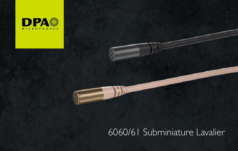

# 6060/61 Subminiature Lavalier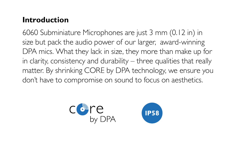# **Introduction**

6060 Subminiature Microphones are just 3 mm (0.12 in) in size but pack the audio power of our larger, award-winning DPA mics. What they lack in size, they more than make up for in clarity, consistency and durability – three qualities that really matter. By shrinking CORE by DPA technology, we ensure you don't have to compromise on sound to focus on aesthetics.

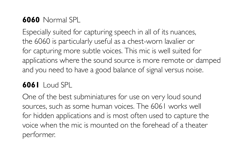# **6060** Normal SPL

Especially suited for capturing speech in all of its nuances, the 6060 is particularly useful as a chest-worn lavalier or for capturing more subtle voices. This mic is well suited for applications where the sound source is more remote or damped and you need to have a good balance of signal versus noise.

# **6061** Loud SPL

One of the best subminiatures for use on very loud sound sources, such as some human voices. The 6061 works well for hidden applications and is most often used to capture the voice when the mic is mounted on the forehead of a theater performer.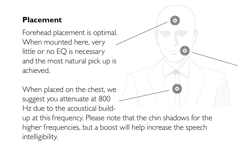# **Placement**

Forehead placement is optimal. When mounted here, very little or no EQ is necessary and the most natural pick up is achieved.

When placed on the chest, we suggest you attenuate at 800 Hz due to the acoustical build-

up at this frequency. Please note that the chin shadows for the higher frequencies, but a boost will help increase the speech intelligibility.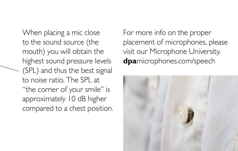When placing a mic close to the sound source (the mouth) you will obtain the highest sound pressure levels (SPL) and thus the best signal to noise ratio. The SPL at "the corner of your smile" is approximately 10 dB higher compared to a chest position. For more info on the proper placement of microphones, please visit our Microphone University. **dpa**microphones.com/speech

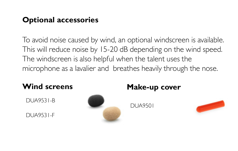# **Optional accessories**

To avoid noise caused by wind, an optional windscreen is available. This will reduce noise by 15-20 dB depending on the wind speed. The windscreen is also helpful when the talent uses the microphone as a lavalier and breathes heavily through the nose.

DUA9531-B

DUA9531-F



# **Wind screens Make-up cover**

DUA9501

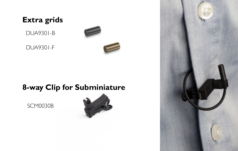# **Extra grids**

DUA9301-B

DUA9301-F



# **8-way Clip for Subminiature**

SCM0030B



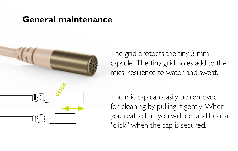# **General maintenance**



The grid protects the tiny 3 mm capsule. The tiny grid holes add to the mics' resilience to water and sweat.

The mic cap can easily be removed for cleaning by pulling it gently. When you reattach it, you will feel and hear a "click" when the cap is secured.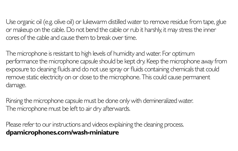Use organic oil (e.g. olive oil) or lukewarm distilled water to remove residue from tape, glue or makeup on the cable. Do not bend the cable or rub it harshly, it may stress the inner cores of the cable and cause them to break over time.

The microphone is resistant to high levels of humidity and water. For optimum performance the microphone capsule should be kept dry. Keep the microphone away from exposure to cleaning fluids and do not use spray or fluids containing chemicals that could remove static electricity on or close to the microphone. This could cause permanent damage.

Rinsing the microphone capsule must be done only with demineralized water. The microphone must be left to air dry afterwards.

Please refer to our instructions and videos explaining the cleaning process. **dpamicrophones.com/wash-miniature**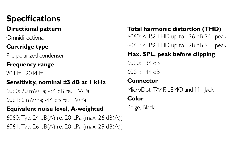# **Specifications**

## **Directional pattern**

Omnidirectional

## **Cartridge type**

Pre-polarized condenser

#### **Frequency range**

20 Hz - 20 kHz

## **Sensitivity, nominal ±3 dB at 1 kHz**

6060: 20 mV/Pa; -34 dB re. 1 V/Pa

6061: 6 mV/Pa; -44 dB re. 1 V/Pa

#### **Equivalent noise level, A-weighted**

6060: Typ. 24 dB(A) re. 20 µPa (max. 26 dB(A)) 6061: Typ. 26 dB(A) re. 20 µPa (max. 28 dB(A))

**Total harmonic distortion (THD)** 6060: < 1% THD up to 126 dB SPL peak 6061: < 1% THD up to 128 dB SPL peak

#### **Max. SPL, peak before clipping**

6060: 134 dB

6061: 144 dB

### **Connector**

MicroDot, TA4E LEMO and MiniJack

### **Color**

Beige, Black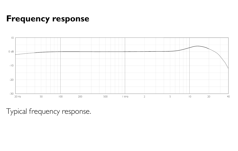# **Frequency response**



Typical frequency response.